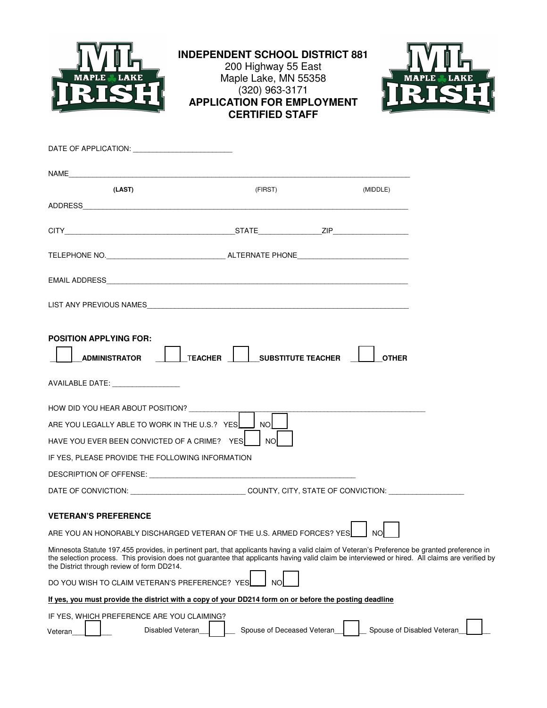

# **INDEPENDENT SCHOOL DISTRICT 881**

## 200 Highway 55 East Maple Lake, MN 55358 (320) 963-3171 **APPLICATION FOR EMPLOYMENT CERTIFIED STAFF**



| NAME                                                                                                                                                                                                                                                                                                                                          |                            |                            |
|-----------------------------------------------------------------------------------------------------------------------------------------------------------------------------------------------------------------------------------------------------------------------------------------------------------------------------------------------|----------------------------|----------------------------|
| (LAST)                                                                                                                                                                                                                                                                                                                                        | (FIRST)                    | (MIDDLE)                   |
|                                                                                                                                                                                                                                                                                                                                               |                            |                            |
|                                                                                                                                                                                                                                                                                                                                               |                            |                            |
|                                                                                                                                                                                                                                                                                                                                               |                            |                            |
|                                                                                                                                                                                                                                                                                                                                               |                            |                            |
|                                                                                                                                                                                                                                                                                                                                               |                            |                            |
| <b>POSITION APPLYING FOR:</b><br><b>ADMINISTRATOR</b>                                                                                                                                                                                                                                                                                         | TEACHER SUBSTITUTE TEACHER | <b>OTHER</b>               |
| AVAILABLE DATE: NOTER                                                                                                                                                                                                                                                                                                                         |                            |                            |
| HOW DID YOU HEAR ABOUT POSITION? ___________<br>ARE YOU LEGALLY ABLE TO WORK IN THE U.S.? YES<br>HAVE YOU EVER BEEN CONVICTED OF A CRIME? YES                                                                                                                                                                                                 | <b>NO</b><br><b>NO</b>     |                            |
| IF YES, PLEASE PROVIDE THE FOLLOWING INFORMATION                                                                                                                                                                                                                                                                                              |                            |                            |
|                                                                                                                                                                                                                                                                                                                                               |                            |                            |
| DATE OF CONVICTION: ________________________________COUNTY, CITY, STATE OF CONVICTION: ___________________                                                                                                                                                                                                                                    |                            |                            |
| <b>VETERAN'S PREFERENCE</b><br>ARE YOU AN HONORABLY DISCHARGED VETERAN OF THE U.S. ARMED FORCES? YES                                                                                                                                                                                                                                          |                            |                            |
| Minnesota Statute 197.455 provides, in pertinent part, that applicants having a valid claim of Veteran's Preference be granted preference in<br>the selection process. This provision does not quarantee that applicants having valid claim be interviewed or hired. All claims are verified by<br>the District through review of form DD214. |                            |                            |
| DO YOU WISH TO CLAIM VETERAN'S PREFERENCE? YES                                                                                                                                                                                                                                                                                                | ΝO                         |                            |
| If yes, you must provide the district with a copy of your DD214 form on or before the posting deadline                                                                                                                                                                                                                                        |                            |                            |
| IF YES, WHICH PREFERENCE ARE YOU CLAIMING?<br>Disabled Veteran<br>Veteran                                                                                                                                                                                                                                                                     | Spouse of Deceased Veteran | Spouse of Disabled Veteran |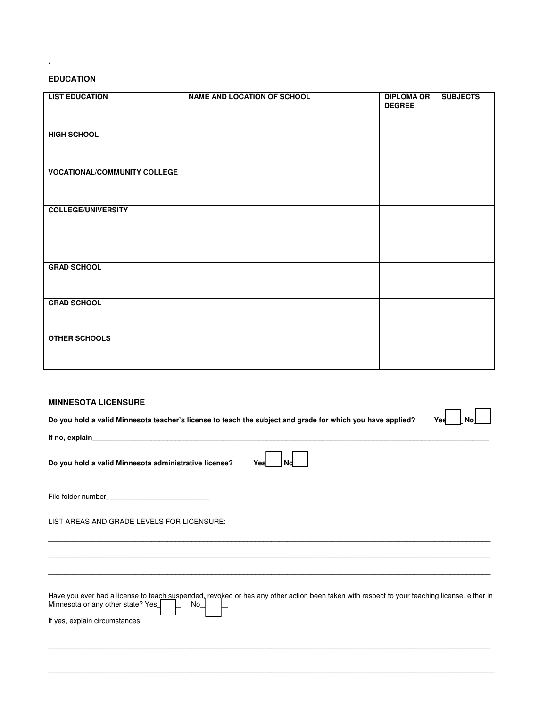#### **EDUCATION**

**.**

| <b>LIST EDUCATION</b>               | <b>NAME AND LOCATION OF SCHOOL</b> | <b>DIPLOMA OR</b><br><b>DEGREE</b> | <b>SUBJECTS</b> |
|-------------------------------------|------------------------------------|------------------------------------|-----------------|
|                                     |                                    |                                    |                 |
| <b>HIGH SCHOOL</b>                  |                                    |                                    |                 |
|                                     |                                    |                                    |                 |
| <b>VOCATIONAL/COMMUNITY COLLEGE</b> |                                    |                                    |                 |
|                                     |                                    |                                    |                 |
| <b>COLLEGE/UNIVERSITY</b>           |                                    |                                    |                 |
|                                     |                                    |                                    |                 |
|                                     |                                    |                                    |                 |
| <b>GRAD SCHOOL</b>                  |                                    |                                    |                 |
|                                     |                                    |                                    |                 |
| <b>GRAD SCHOOL</b>                  |                                    |                                    |                 |
|                                     |                                    |                                    |                 |
| <b>OTHER SCHOOLS</b>                |                                    |                                    |                 |
|                                     |                                    |                                    |                 |

#### **MINNESOTA LICENSURE**

**Do you hold a valid Minnesota teacher's license to teach the subject and grade for which you have applied?** Yes | No



**If no, explain\_\_\_\_\_\_\_\_\_\_\_\_\_\_\_\_\_\_\_\_\_\_\_\_\_\_\_\_\_\_\_\_\_\_\_\_\_\_\_\_\_\_\_\_\_\_\_\_\_\_\_\_\_\_\_\_\_\_\_\_\_\_\_\_\_\_\_\_\_\_\_\_\_\_\_\_\_\_\_\_\_\_\_\_\_\_\_\_\_\_\_\_\_\_\_\_\_\_\_\_** 

**Do you hold a valid Minnesota administrative license?** Y

|--|--|

File folder number

LIST AREAS AND GRADE LEVELS FOR LICENSURE:

Have you ever had a license to teach suspended, revoked or has any other action been taken with respect to your teaching license, either in<br>Minnesota or any other state? Yes Minnesota or any other state? Yes\_

\_\_\_\_\_\_\_\_\_\_\_\_\_\_\_\_\_\_\_\_\_\_\_\_\_\_\_\_\_\_\_\_\_\_\_\_\_\_\_\_\_\_\_\_\_\_\_\_\_\_\_\_\_\_\_\_\_\_\_\_\_\_\_\_\_\_\_\_\_\_\_\_\_\_\_\_\_\_\_\_\_\_\_\_\_\_\_\_\_\_\_\_\_\_\_\_\_\_\_\_\_\_\_\_\_\_\_\_\_\_\_

\_\_\_\_\_\_\_\_\_\_\_\_\_\_\_\_\_\_\_\_\_\_\_\_\_\_\_\_\_\_\_\_\_\_\_\_\_\_\_\_\_\_\_\_\_\_\_\_\_\_\_\_\_\_\_\_\_\_\_\_\_\_\_\_\_\_\_\_\_\_\_\_\_\_\_\_\_\_\_\_\_\_\_\_\_\_\_\_\_\_\_\_\_\_\_\_\_\_\_\_\_\_\_\_\_\_\_\_\_\_\_\_

\_\_\_\_\_\_\_\_\_\_\_\_\_\_\_\_\_\_\_\_\_\_\_\_\_\_\_\_\_\_\_\_\_\_\_\_\_\_\_\_\_\_\_\_\_\_\_\_\_\_\_\_\_\_\_\_\_\_\_\_\_\_\_\_\_\_\_\_\_\_\_\_\_\_\_\_\_\_\_\_\_\_\_\_\_\_\_\_\_\_\_\_\_\_\_\_\_\_\_\_\_\_\_\_\_\_\_\_\_\_\_ \_\_\_\_\_\_\_\_\_\_\_\_\_\_\_\_\_\_\_\_\_\_\_\_\_\_\_\_\_\_\_\_\_\_\_\_\_\_\_\_\_\_\_\_\_\_\_\_\_\_\_\_\_\_\_\_\_\_\_\_\_\_\_\_\_\_\_\_\_\_\_\_\_\_\_\_\_\_\_\_\_\_\_\_\_\_\_\_\_\_\_\_\_\_\_\_\_\_\_\_\_\_\_\_\_\_\_\_\_\_\_ \_\_\_\_\_\_\_\_\_\_\_\_\_\_\_\_\_\_\_\_\_\_\_\_\_\_\_\_\_\_\_\_\_\_\_\_\_\_\_\_\_\_\_\_\_\_\_\_\_\_\_\_\_\_\_\_\_\_\_\_\_\_\_\_\_\_\_\_\_\_\_\_\_\_\_\_\_\_\_\_\_\_\_\_\_\_\_\_\_\_\_\_\_\_\_\_\_\_\_\_\_\_\_\_\_\_\_\_\_\_\_

If yes, explain circumstances: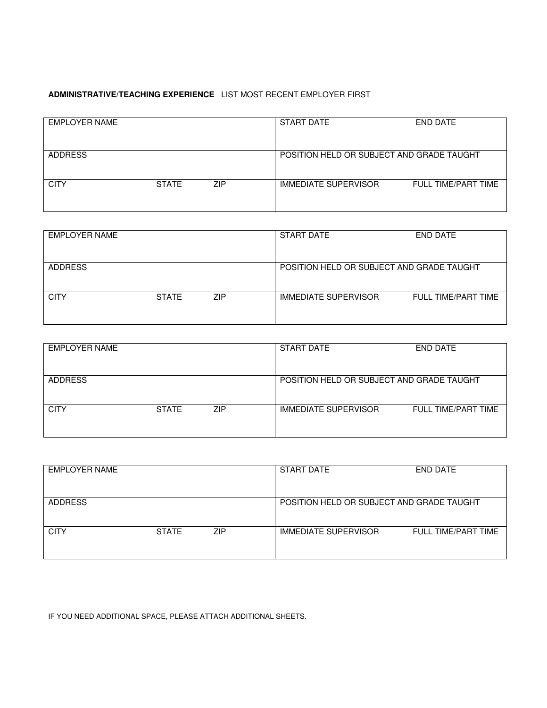### **ADMINISTRATIVE/TEACHING EXPERIENCE** LIST MOST RECENT EMPLOYER FIRST

| <b>EMPLOYER NAME</b> |              |     | <b>START DATE</b>                         | END DATE            |
|----------------------|--------------|-----|-------------------------------------------|---------------------|
| <b>ADDRESS</b>       |              |     | POSITION HELD OR SUBJECT AND GRADE TAUGHT |                     |
| <b>CITY</b>          | <b>STATE</b> | ZIP | <b>IMMEDIATE SUPERVISOR</b>               | FULL TIME/PART TIME |

| <b>EMPLOYER NAME</b> |              |     | <b>START DATE</b>                         | <b>END DATE</b>     |
|----------------------|--------------|-----|-------------------------------------------|---------------------|
|                      |              |     |                                           |                     |
| <b>ADDRESS</b>       |              |     | POSITION HELD OR SUBJECT AND GRADE TAUGHT |                     |
| <b>CITY</b>          | <b>STATE</b> | ZIP | <b>IMMEDIATE SUPERVISOR</b>               | FULL TIME/PART TIME |

| EMPLOYER NAME  |              |                                           | <b>START DATE</b>           | END DATE            |
|----------------|--------------|-------------------------------------------|-----------------------------|---------------------|
| <b>ADDRESS</b> |              | POSITION HELD OR SUBJECT AND GRADE TAUGHT |                             |                     |
| <b>CITY</b>    | <b>STATE</b> | ZIP                                       | <b>IMMEDIATE SUPERVISOR</b> | FULL TIME/PART TIME |

| <b>EMPLOYER NAME</b> |              |            | <b>START DATE</b>                         | END DATE            |
|----------------------|--------------|------------|-------------------------------------------|---------------------|
| <b>ADDRESS</b>       |              |            | POSITION HELD OR SUBJECT AND GRADE TAUGHT |                     |
| <b>CITY</b>          | <b>STATE</b> | <b>ZIP</b> | <b>IMMEDIATE SUPERVISOR</b>               | FULL TIME/PART TIME |

IF YOU NEED ADDITIONAL SPACE, PLEASE ATTACH ADDITIONAL SHEETS.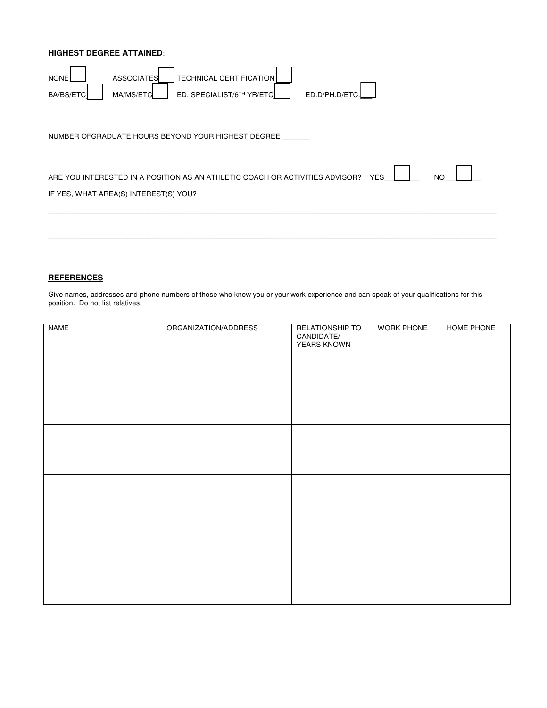#### **HIGHEST DEGREE ATTAINED**:

| <b>NONE</b>      | <b>TECHNICAL CERTIFICATION</b><br><b>ASSOCIATES</b>                          |            |     |
|------------------|------------------------------------------------------------------------------|------------|-----|
| <b>BA/BS/ETC</b> | ED. SPECIALIST/6TH YR/ETC<br>ED.D/PH.D/ETC.<br>MA/MS/ETC                     |            |     |
|                  | NUMBER OFGRADUATE HOURS BEYOND YOUR HIGHEST DEGREE                           |            |     |
|                  | ARE YOU INTERESTED IN A POSITION AS AN ATHLETIC COACH OR ACTIVITIES ADVISOR? | <b>YES</b> | NO. |
|                  | IF YES, WHAT AREA(S) INTEREST(S) YOU?                                        |            |     |
|                  |                                                                              |            |     |
|                  |                                                                              |            |     |
|                  |                                                                              |            |     |

#### **REFERENCES**

Give names, addresses and phone numbers of those who know you or your work experience and can speak of your qualifications for this position. Do not list relatives.

| <b>NAME</b> | ORGANIZATION/ADDRESS | RELATIONSHIP TO<br>CANDIDATE/<br><b>YEARS KNOWN</b> | <b>WORK PHONE</b> | HOME PHONE |
|-------------|----------------------|-----------------------------------------------------|-------------------|------------|
|             |                      |                                                     |                   |            |
|             |                      |                                                     |                   |            |
|             |                      |                                                     |                   |            |
|             |                      |                                                     |                   |            |
|             |                      |                                                     |                   |            |
|             |                      |                                                     |                   |            |
|             |                      |                                                     |                   |            |
|             |                      |                                                     |                   |            |
|             |                      |                                                     |                   |            |
|             |                      |                                                     |                   |            |